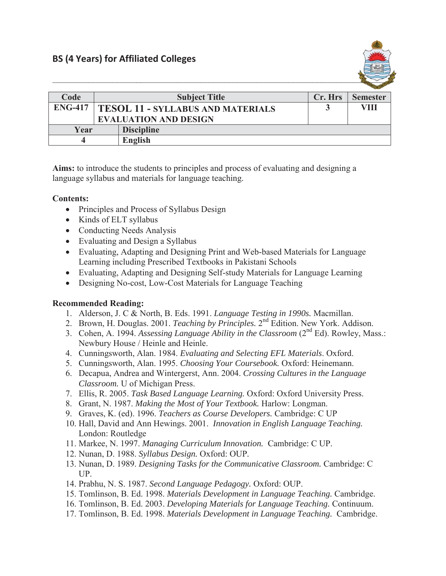

| Code           | <b>Subject Title</b>                     |                   | Cr. Hrs | <b>Semester</b> |
|----------------|------------------------------------------|-------------------|---------|-----------------|
| <b>ENG-417</b> | <b>TESOL 11 - SYLLABUS AND MATERIALS</b> |                   |         | VIII            |
|                | <b>EVALUATION AND DESIGN</b>             |                   |         |                 |
| Year           |                                          | <b>Discipline</b> |         |                 |
|                |                                          | English           |         |                 |

**Aims:** to introduce the students to principles and process of evaluating and designing a language syllabus and materials for language teaching.

## **Contents:**

- Principles and Process of Syllabus Design
- $\bullet$  Kinds of ELT syllabus
- Conducting Needs Analysis
- $\bullet$  Evaluating and Design a Syllabus
- Evaluating, Adapting and Designing Print and Web-based Materials for Language Learning including Prescribed Textbooks in Pakistani Schools
- Evaluating, Adapting and Designing Self-study Materials for Language Learning
- Designing No-cost, Low-Cost Materials for Language Teaching

## **Recommended Reading:**

- 1. Alderson, J. C & North, B. Eds. 1991. *Language Testing in 1990s.* Macmillan.
- 2. Brown, H. Douglas. 2001. *Teaching by Principles.* 2nd Edition. New York. Addison.
- 3. Cohen, A. 1994. *Assessing Language Ability in the Classroom* (2<sup>nd</sup> Ed). Rowley, Mass.: Newbury House / Heinle and Heinle.
- 4. Cunningsworth, Alan. 1984. *Evaluating and Selecting EFL Materials*. Oxford.
- 5. Cunningsworth, Alan. 1995. *Choosing Your Coursebook.* Oxford: Heinemann.
- 6. Decapua, Andrea and Wintergerst, Ann. 2004. *Crossing Cultures in the Language Classroom.* U of Michigan Press.
- 7. Ellis, R. 2005. *Task Based Language Learning.* Oxford: Oxford University Press.
- 8. Grant, N. 1987. *Making the Most of Your Textbook.* Harlow: Longman.
- 9. Graves, K. (ed). 1996. *Teachers as Course Developers.* Cambridge: C UP
- 10. Hall, David and Ann Hewings. 2001. *Innovation in English Language Teaching.*  London: Routledge
- 11. Markee, N. 1997. *Managing Curriculum Innovation.* Cambridge: C UP.
- 12. Nunan, D. 1988. *Syllabus Design.* Oxford: OUP*.*
- 13. Nunan, D. 1989. *Designing Tasks for the Communicative Classroom.* Cambridge: C UP.
- 14. Prabhu, N. S. 1987. *Second Language Pedagogy.* Oxford: OUP.
- 15. Tomlinson, B. Ed. 1998. *Materials Development in Language Teaching.* Cambridge.
- 16. Tomlinson, B. Ed. 2003. *Developing Materials for Language Teaching.* Continuum.
- 17. Tomlinson, B. Ed. 1998. *Materials Development in Language Teaching.* Cambridge.